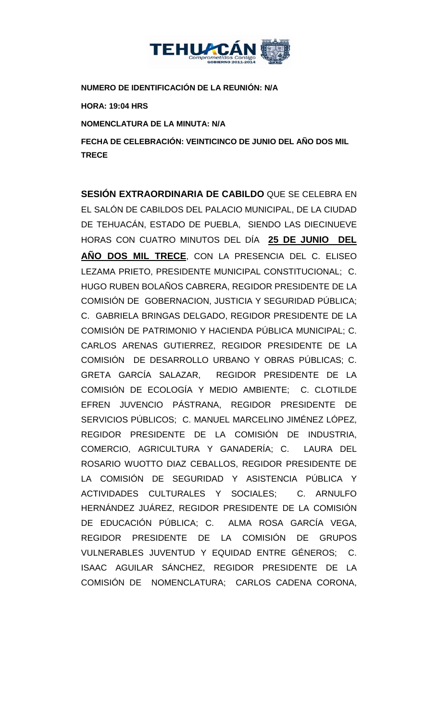

**NUMERO DE IDENTIFICACIÓN DE LA REUNIÓN: N/A**

**HORA: 19:04 HRS**

**NOMENCLATURA DE LA MINUTA: N/A**

**FECHA DE CELEBRACIÓN: VEINTICINCO DE JUNIO DEL AÑO DOS MIL TRECE** 

**SESIÓN EXTRAORDINARIA DE CABILDO** QUE SE CELEBRA EN EL SALÓN DE CABILDOS DEL PALACIO MUNICIPAL, DE LA CIUDAD DE TEHUACÁN, ESTADO DE PUEBLA, SIENDO LAS DIECINUEVE HORAS CON CUATRO MINUTOS DEL DÍA **25 DE JUNIO DEL AÑO DOS MIL TRECE**, CON LA PRESENCIA DEL C. ELISEO LEZAMA PRIETO, PRESIDENTE MUNICIPAL CONSTITUCIONAL; C. HUGO RUBEN BOLAÑOS CABRERA, REGIDOR PRESIDENTE DE LA COMISIÓN DE GOBERNACION, JUSTICIA Y SEGURIDAD PÚBLICA; C. GABRIELA BRINGAS DELGADO, REGIDOR PRESIDENTE DE LA COMISIÓN DE PATRIMONIO Y HACIENDA PÚBLICA MUNICIPAL; C. CARLOS ARENAS GUTIERREZ, REGIDOR PRESIDENTE DE LA COMISIÓN DE DESARROLLO URBANO Y OBRAS PÚBLICAS; C. GRETA GARCÍA SALAZAR, REGIDOR PRESIDENTE DE LA COMISIÓN DE ECOLOGÍA Y MEDIO AMBIENTE; C. CLOTILDE EFREN JUVENCIO PÁSTRANA, REGIDOR PRESIDENTE DE SERVICIOS PÚBLICOS; C. MANUEL MARCELINO JIMÉNEZ LÓPEZ, REGIDOR PRESIDENTE DE LA COMISIÓN DE INDUSTRIA, COMERCIO, AGRICULTURA Y GANADERÍA; C. LAURA DEL ROSARIO WUOTTO DIAZ CEBALLOS, REGIDOR PRESIDENTE DE LA COMISIÓN DE SEGURIDAD Y ASISTENCIA PÚBLICA Y ACTIVIDADES CULTURALES Y SOCIALES; C. ARNULFO HERNÁNDEZ JUÁREZ, REGIDOR PRESIDENTE DE LA COMISIÓN DE EDUCACIÓN PÚBLICA; C. ALMA ROSA GARCÍA VEGA, REGIDOR PRESIDENTE DE LA COMISIÓN DE GRUPOS VULNERABLES JUVENTUD Y EQUIDAD ENTRE GÉNEROS; C. ISAAC AGUILAR SÁNCHEZ, REGIDOR PRESIDENTE DE LA COMISIÓN DE NOMENCLATURA; CARLOS CADENA CORONA,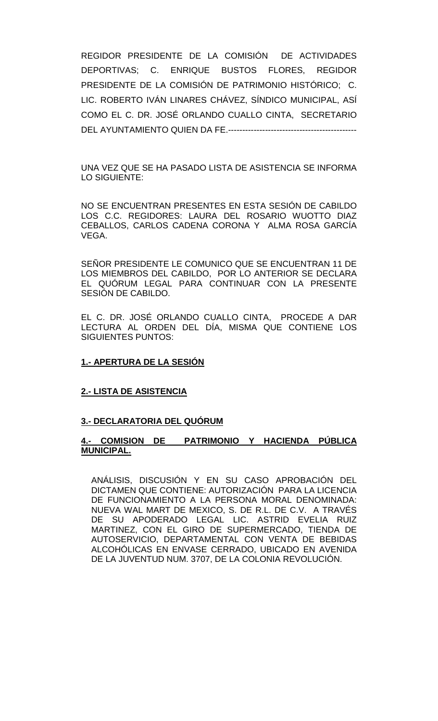REGIDOR PRESIDENTE DE LA COMISIÓN DE ACTIVIDADES DEPORTIVAS; C. ENRIQUE BUSTOS FLORES, REGIDOR PRESIDENTE DE LA COMISIÓN DE PATRIMONIO HISTÓRICO; C. LIC. ROBERTO IVÁN LINARES CHÁVEZ, SÍNDICO MUNICIPAL, ASÍ COMO EL C. DR. JOSÉ ORLANDO CUALLO CINTA, SECRETARIO DEL AYUNTAMIENTO QUIEN DA FE.---------------------------------------------

UNA VEZ QUE SE HA PASADO LISTA DE ASISTENCIA SE INFORMA LO SIGUIENTE:

NO SE ENCUENTRAN PRESENTES EN ESTA SESIÓN DE CABILDO LOS C.C. REGIDORES: LAURA DEL ROSARIO WUOTTO DIAZ CEBALLOS, CARLOS CADENA CORONA Y ALMA ROSA GARCÍA VEGA.

SEÑOR PRESIDENTE LE COMUNICO QUE SE ENCUENTRAN 11 DE LOS MIEMBROS DEL CABILDO, POR LO ANTERIOR SE DECLARA EL QUÓRUM LEGAL PARA CONTINUAR CON LA PRESENTE SESIÓN DE CABILDO.

EL C. DR. JOSÉ ORLANDO CUALLO CINTA, PROCEDE A DAR LECTURA AL ORDEN DEL DÍA, MISMA QUE CONTIENE LOS SIGUIENTES PUNTOS:

# **1.- APERTURA DE LA SESIÓN**

## **2.- LISTA DE ASISTENCIA**

# **3.- DECLARATORIA DEL QUÓRUM**

## **4.- COMISION DE PATRIMONIO Y HACIENDA PÚBLICA MUNICIPAL.**

ANÁLISIS, DISCUSIÓN Y EN SU CASO APROBACIÓN DEL DICTAMEN QUE CONTIENE: AUTORIZACIÓN PARA LA LICENCIA DE FUNCIONAMIENTO A LA PERSONA MORAL DENOMINADA: NUEVA WAL MART DE MEXICO, S. DE R.L. DE C.V. A TRAVÉS DE SU APODERADO LEGAL LIC. ASTRID EVELIA RUIZ MARTINEZ, CON EL GIRO DE SUPERMERCADO, TIENDA DE AUTOSERVICIO, DEPARTAMENTAL CON VENTA DE BEBIDAS ALCOHÓLICAS EN ENVASE CERRADO, UBICADO EN AVENIDA DE LA JUVENTUD NUM. 3707, DE LA COLONIA REVOLUCIÓN.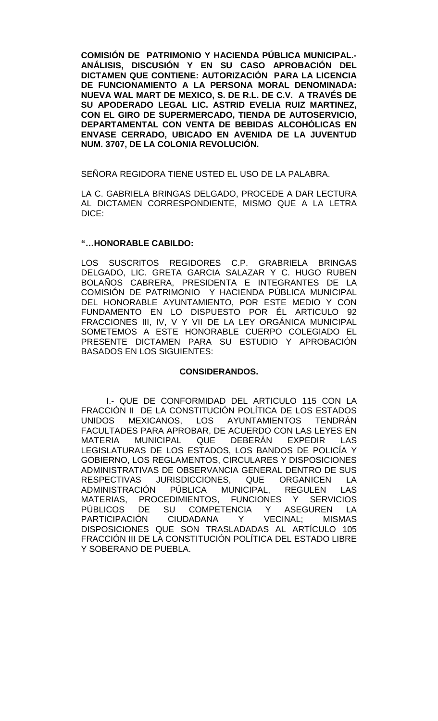**COMISIÓN DE PATRIMONIO Y HACIENDA PÚBLICA MUNICIPAL.- ANÁLISIS, DISCUSIÓN Y EN SU CASO APROBACIÓN DEL DICTAMEN QUE CONTIENE: AUTORIZACIÓN PARA LA LICENCIA DE FUNCIONAMIENTO A LA PERSONA MORAL DENOMINADA: NUEVA WAL MART DE MEXICO, S. DE R.L. DE C.V. A TRAVÉS DE SU APODERADO LEGAL LIC. ASTRID EVELIA RUIZ MARTINEZ, CON EL GIRO DE SUPERMERCADO, TIENDA DE AUTOSERVICIO, DEPARTAMENTAL CON VENTA DE BEBIDAS ALCOHÓLICAS EN ENVASE CERRADO, UBICADO EN AVENIDA DE LA JUVENTUD NUM. 3707, DE LA COLONIA REVOLUCIÓN.**

SEÑORA REGIDORA TIENE USTED EL USO DE LA PALABRA.

LA C. GABRIELA BRINGAS DELGADO, PROCEDE A DAR LECTURA AL DICTAMEN CORRESPONDIENTE, MISMO QUE A LA LETRA DICE:

#### **"…HONORABLE CABILDO:**

LOS SUSCRITOS REGIDORES C.P. GRABRIELA BRINGAS DELGADO, LIC. GRETA GARCIA SALAZAR Y C. HUGO RUBEN BOLAÑOS CABRERA, PRESIDENTA E INTEGRANTES DE LA COMISIÓN DE PATRIMONIO Y HACIENDA PÚBLICA MUNICIPAL DEL HONORABLE AYUNTAMIENTO, POR ESTE MEDIO Y CON FUNDAMENTO EN LO DISPUESTO POR ÉL ARTICULO 92 FRACCIONES III, IV, V Y VII DE LA LEY ORGÁNICA MUNICIPAL SOMETEMOS A ESTE HONORABLE CUERPO COLEGIADO EL PRESENTE DICTAMEN PARA SU ESTUDIO Y APROBACIÓN BASADOS EN LOS SIGUIENTES:

#### **CONSIDERANDOS.**

I.- QUE DE CONFORMIDAD DEL ARTICULO 115 CON LA FRACCIÓN II DE LA CONSTITUCIÓN POLÍTICA DE LOS ESTADOS<br>UNIDOS MEXICANOS, LOS AYUNTAMIENTOS TENDRÁN AYUNTAMIENTOS FACULTADES PARA APROBAR, DE ACUERDO CON LAS LEYES EN MUNICIPAL QUE DEBERÁN LEGISLATURAS DE LOS ESTADOS, LOS BANDOS DE POLICÍA Y GOBIERNO, LOS REGLAMENTOS, CIRCULARES Y DISPOSICIONES ADMINISTRATIVAS DE OBSERVANCIA GENERAL DENTRO DE SUS RESPECTIVAS JURISDICCIONES, QUE ORGANICEN LA<br>ADMINISTRACIÓN PÚBLICA MUNICIPAL, REGULEN LAS PÚBLICA MUNICIPAL, REGULEN MATERIAS, PROCEDIMIENTOS, FUNCIONES Y SERVICIOS PÚBLICOS DE SU COMPETENCIA Y ASEGUREN LA<br>PARTICIPACIÓN CIUDADANA Y VECINAL; MISMAS PARTICIPACIÓN CIUDADANA Y VECINAL; MISMAS DISPOSICIONES QUE SON TRASLADADAS AL ARTÍCULO 105 FRACCIÓN III DE LA CONSTITUCIÓN POLÍTICA DEL ESTADO LIBRE Y SOBERANO DE PUEBLA.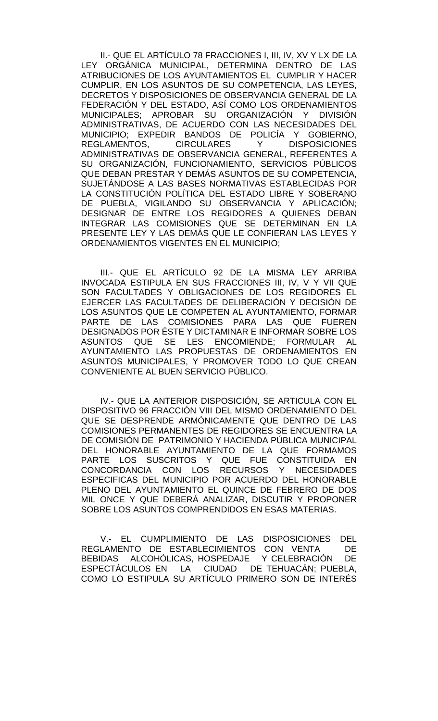II.- QUE EL ARTÍCULO 78 FRACCIONES I, III, IV, XV Y LX DE LA LEY ORGÁNICA MUNICIPAL, DETERMINA DENTRO DE LAS ATRIBUCIONES DE LOS AYUNTAMIENTOS EL CUMPLIR Y HACER CUMPLIR, EN LOS ASUNTOS DE SU COMPETENCIA, LAS LEYES, DECRETOS Y DISPOSICIONES DE OBSERVANCIA GENERAL DE LA FEDERACIÓN Y DEL ESTADO, ASÍ COMO LOS ORDENAMIENTOS MUNICIPALES; APROBAR SU ORGANIZACIÓN Y DIVISIÓN ADMINISTRATIVAS, DE ACUERDO CON LAS NECESIDADES DEL MUNICIPIO; EXPEDIR BANDOS DE POLICÍA Y GOBIERNO, Y DISPOSICIONES ADMINISTRATIVAS DE OBSERVANCIA GENERAL, REFERENTES A SU ORGANIZACIÓN, FUNCIONAMIENTO, SERVICIOS PÚBLICOS QUE DEBAN PRESTAR Y DEMÁS ASUNTOS DE SU COMPETENCIA, SUJETÁNDOSE A LAS BASES NORMATIVAS ESTABLECIDAS POR LA CONSTITUCIÓN POLÍTICA DEL ESTADO LIBRE Y SOBERANO DE PUEBLA, VIGILANDO SU OBSERVANCIA Y APLICACIÓN; DESIGNAR DE ENTRE LOS REGIDORES A QUIENES DEBAN INTEGRAR LAS COMISIONES QUE SE DETERMINAN EN LA PRESENTE LEY Y LAS DEMÁS QUE LE CONFIERAN LAS LEYES Y ORDENAMIENTOS VIGENTES EN EL MUNICIPIO;

III.- QUE EL ARTÍCULO 92 DE LA MISMA LEY ARRIBA INVOCADA ESTIPULA EN SUS FRACCIONES III, IV, V Y VII QUE SON FACULTADES Y OBLIGACIONES DE LOS REGIDORES EL EJERCER LAS FACULTADES DE DELIBERACIÓN Y DECISIÓN DE LOS ASUNTOS QUE LE COMPETEN AL AYUNTAMIENTO, FORMAR PARTE DE LAS COMISIONES PARA LAS QUE FUEREN DESIGNADOS POR ÉSTE Y DICTAMINAR E INFORMAR SOBRE LOS ASUNTOS QUE SE LES ENCOMIENDE; FORMULAR AL AYUNTAMIENTO LAS PROPUESTAS DE ORDENAMIENTOS EN ASUNTOS MUNICIPALES, Y PROMOVER TODO LO QUE CREAN CONVENIENTE AL BUEN SERVICIO PÚBLICO.

IV.- QUE LA ANTERIOR DISPOSICIÓN, SE ARTICULA CON EL DISPOSITIVO 96 FRACCIÓN VIII DEL MISMO ORDENAMIENTO DEL QUE SE DESPRENDE ARMÓNICAMENTE QUE DENTRO DE LAS COMISIONES PERMANENTES DE REGIDORES SE ENCUENTRA LA DE COMISIÓN DE PATRIMONIO Y HACIENDA PÚBLICA MUNICIPAL DEL HONORABLE AYUNTAMIENTO DE LA QUE FORMAMOS PARTE LOS SUSCRITOS Y QUE FUE CONSTITUIDA EN CONCORDANCIA CON LOS RECURSOS Y NECESIDADES ESPECIFICAS DEL MUNICIPIO POR ACUERDO DEL HONORABLE PLENO DEL AYUNTAMIENTO EL QUINCE DE FEBRERO DE DOS MIL ONCE Y QUE DEBERÁ ANALIZAR, DISCUTIR Y PROPONER SOBRE LOS ASUNTOS COMPRENDIDOS EN ESAS MATERIAS.

V.- EL CUMPLIMIENTO DE LAS DISPOSICIONES DEL REGLAMENTO DE ESTABLECIMIENTOS CON VENTA DE BEBIDAS ALCOHÓLICAS, HOSPEDAJE Y CELEBRACIÓN DE ESPECTÁCULOS EN LA CIUDAD DE TEHUACÁN; PUEBLA, COMO LO ESTIPULA SU ARTÍCULO PRIMERO SON DE INTERÉS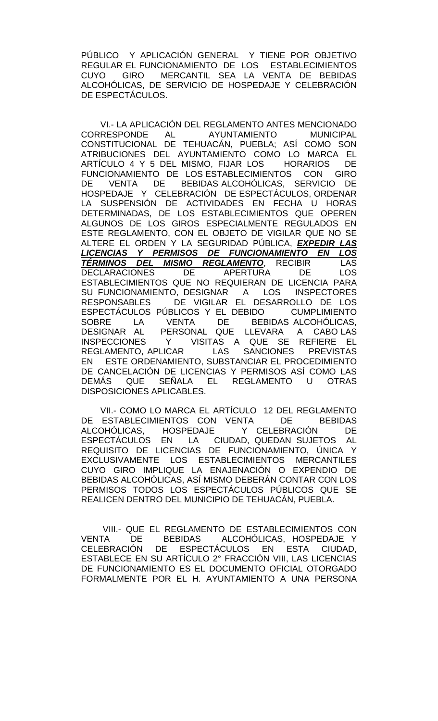PÚBLICO Y APLICACIÓN GENERAL Y TIENE POR OBJETIVO REGULAR EL FUNCIONAMIENTO DE LOS ESTABLECIMIENTOS CUYO GIRO MERCANTIL SEA LA VENTA DE BEBIDAS ALCOHÓLICAS, DE SERVICIO DE HOSPEDAJE Y CELEBRACIÓN DE ESPECTÁCULOS.

VI.- LA APLICACIÓN DEL REGLAMENTO ANTES MENCIONADO CORRESPONDE AL AYUNTAMIENTO MUNICIPAL CONSTITUCIONAL DE TEHUACÁN, PUEBLA; ASÍ COMO SON ATRIBUCIONES DEL AYUNTAMIENTO COMO LO MARCA EL ARTÍCULO 4 Y 5 DEL MISMO, FIJAR LOS HORARIOS DE FUNCIONAMIENTO DE LOS ESTABLECIMIENTOS CON GIRO DE VENTA DE BEBIDAS ALCOHÓLICAS, SERVICIO DE HOSPEDAJE Y CELEBRACIÓN DE ESPECTÁCULOS, ORDENAR LA SUSPENSIÓN DE ACTIVIDADES EN FECHA U HORAS DETERMINADAS, DE LOS ESTABLECIMIENTOS QUE OPEREN ALGUNOS DE LOS GIROS ESPECIALMENTE REGULADOS EN ESTE REGLAMENTO, CON EL OBJETO DE VIGILAR QUE NO SE ALTERE EL ORDEN Y LA SEGURIDAD PÚBLICA, *EXPEDIR LAS LICENCIAS Y PERMISOS DE FUNCIONAMIENTO EN LOS TÉRMINOS DEL MISMO REGLAMENTO*, RECIBIR LAS DECLARACIONES DE APERTURA DE ESTABLECIMIENTOS QUE NO REQUIERAN DE LICENCIA PARA SU FUNCIONAMIENTO, DESIGNAR A LOS INSPECTORES RESPONSABLES DE VIGILAR EL DESARROLLO DE LOS ESPECTÁCULOS PÚBLICOS Y EL DEBIDO CUMPLIMIENTO SOBRE LA VENTA DE BEBIDAS ALCOHÓLICAS, DESIGNAR AL PERSONAL QUE LLEVARA A CABO LAS INSPECCIONES Y VISITAS A QUE SE REFIERE EL REGLAMENTO, APLICAR LAS SANCIONES PREVISTAS EN ESTE ORDENAMIENTO, SUBSTANCIAR EL PROCEDIMIENTO DE CANCELACIÓN DE LICENCIAS Y PERMISOS ASÍ COMO LAS DEMÁS QUE SEÑALA EL REGLAMENTO U OTRAS DISPOSICIONES APLICABLES.

VII.- COMO LO MARCA EL ARTÍCULO 12 DEL REGLAMENTO<br>ESTABLECIMIENTOS CON VENTA DE BEBIDAS DE ESTABLECIMIENTOS CON VENTA ALCOHÓLICAS, HOSPEDAJE Y CELEBRACIÓN DE ESPECTÁCULOS EN LA CIUDAD, QUEDAN SUJETOS AL REQUISITO DE LICENCIAS DE FUNCIONAMIENTO, ÚNICA Y EXCLUSIVAMENTE LOS ESTABLECIMIENTOS MERCANTILES CUYO GIRO IMPLIQUE LA ENAJENACIÓN O EXPENDIO DE BEBIDAS ALCOHÓLICAS, ASÍ MISMO DEBERÁN CONTAR CON LOS PERMISOS TODOS LOS ESPECTÁCULOS PÚBLICOS QUE SE REALICEN DENTRO DEL MUNICIPIO DE TEHUACÁN, PUEBLA.

VIII.- QUE EL REGLAMENTO DE ESTABLECIMIENTOS CON VENTA DE BEBIDAS ALCOHÓLICAS, HOSPEDAJE Y DE ESPECTÁCULOS EN ESTA CIUDAD, ESTABLECE EN SU ARTÍCULO 2° FRACCIÓN VIII, LAS LICENCIAS DE FUNCIONAMIENTO ES EL DOCUMENTO OFICIAL OTORGADO FORMALMENTE POR EL H. AYUNTAMIENTO A UNA PERSONA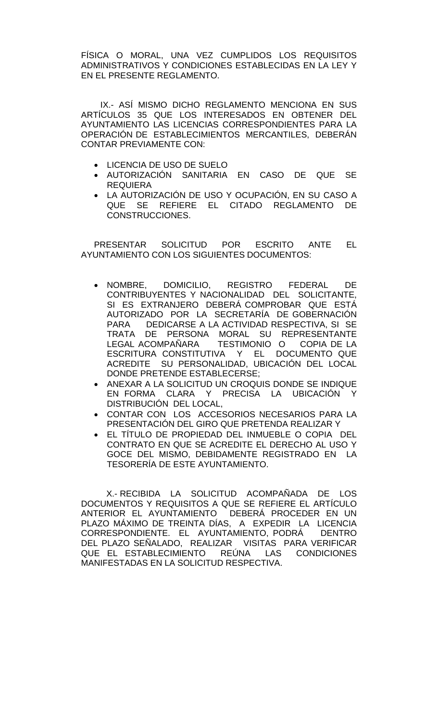FÍSICA O MORAL, UNA VEZ CUMPLIDOS LOS REQUISITOS ADMINISTRATIVOS Y CONDICIONES ESTABLECIDAS EN LA LEY Y EN EL PRESENTE REGLAMENTO.

IX.- ASÍ MISMO DICHO REGLAMENTO MENCIONA EN SUS ARTÍCULOS 35 QUE LOS INTERESADOS EN OBTENER DEL AYUNTAMIENTO LAS LICENCIAS CORRESPONDIENTES PARA LA OPERACIÓN DE ESTABLECIMIENTOS MERCANTILES, DEBERÁN CONTAR PREVIAMENTE CON:

- LICENCIA DE USO DE SUELO
- AUTORIZACIÓN SANITARIA EN CASO DE QUE SE REQUIERA
- LA AUTORIZACIÓN DE USO Y OCUPACIÓN, EN SU CASO A QUE SE REFIERE EL CITADO REGLAMENTO DE CONSTRUCCIONES.

PRESENTAR SOLICITUD POR ESCRITO ANTE EL AYUNTAMIENTO CON LOS SIGUIENTES DOCUMENTOS:

- NOMBRE, DOMICILIO, REGISTRO FEDERAL DE CONTRIBUYENTES Y NACIONALIDAD DEL SOLICITANTE, SI ES EXTRANJERO DEBERÁ COMPROBAR QUE ESTÁ AUTORIZADO POR LA SECRETARÍA DE GOBERNACIÓN PARA DEDICARSE A LA ACTIVIDAD RESPECTIVA, SI SE TRATA DE PERSONA MORAL SU REPRESENTANTE LEGAL ACOMPAÑARA TESTIMONIO O COPIA DE LA ESCRITURA CONSTITUTIVA Y EL DOCUMENTO QUE ACREDITE SU PERSONALIDAD, UBICACIÓN DEL LOCAL DONDE PRETENDE ESTABLECERSE;
- ANEXAR A LA SOLICITUD UN CROQUIS DONDE SE INDIQUE EN FORMA CLARA Y PRECISA LA UBICACIÓN Y DISTRIBUCIÓN DEL LOCAL,
- CONTAR CON LOS ACCESORIOS NECESARIOS PARA LA PRESENTACIÓN DEL GIRO QUE PRETENDA REALIZAR Y
- EL TÍTULO DE PROPIEDAD DEL INMUEBLE O COPIA DEL CONTRATO EN QUE SE ACREDITE EL DERECHO AL USO Y GOCE DEL MISMO, DEBIDAMENTE REGISTRADO EN LA TESORERÍA DE ESTE AYUNTAMIENTO.

X.- RECIBIDA LA SOLICITUD ACOMPAÑADA DE LOS DOCUMENTOS Y REQUISITOS A QUE SE REFIERE EL ARTÍCULO ANTERIOR EL AYUNTAMIENTO DEBERÁ PROCEDER EN UN PLAZO MÁXIMO DE TREINTA DÍAS, A EXPEDIR LA LICENCIA CORRESPONDIENTE. EL AYUNTAMIENTO, PODRÁ DENTRO DEL PLAZO SEÑALADO, REALIZAR VISITAS PARA VERIFICAR<br>QUE EL ESTABLECIMIENTO REÚNA LAS CONDICIONES QUE EL ESTABLECIMIENTO MANIFESTADAS EN LA SOLICITUD RESPECTIVA.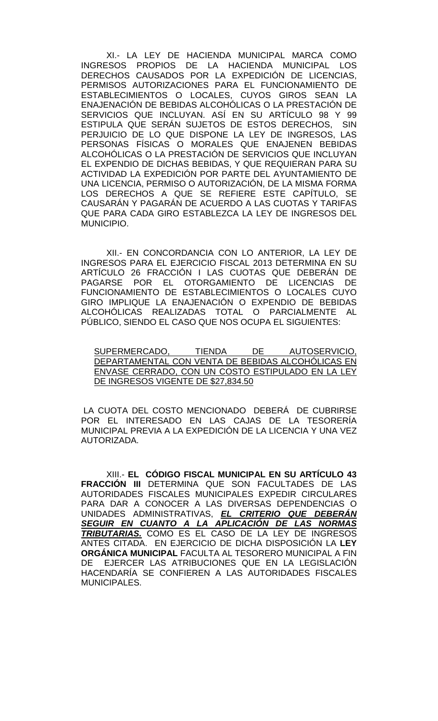XI.- LA LEY DE HACIENDA MUNICIPAL MARCA COMO INGRESOS PROPIOS DE LA HACIENDA MUNICIPAL LOS DERECHOS CAUSADOS POR LA EXPEDICIÓN DE LICENCIAS, PERMISOS AUTORIZACIONES PARA EL FUNCIONAMIENTO DE ESTABLECIMIENTOS O LOCALES, CUYOS GIROS SEAN LA ENAJENACIÓN DE BEBIDAS ALCOHÓLICAS O LA PRESTACIÓN DE SERVICIOS QUE INCLUYAN. ASÍ EN SU ARTÍCULO 98 Y 99 ESTIPULA QUE SERÁN SUJETOS DE ESTOS DERECHOS, SIN PERJUICIO DE LO QUE DISPONE LA LEY DE INGRESOS, LAS PERSONAS FÍSICAS O MORALES QUE ENAJENEN BEBIDAS ALCOHÓLICAS O LA PRESTACIÓN DE SERVICIOS QUE INCLUYAN EL EXPENDIO DE DICHAS BEBIDAS, Y QUE REQUIERAN PARA SU ACTIVIDAD LA EXPEDICIÓN POR PARTE DEL AYUNTAMIENTO DE UNA LICENCIA, PERMISO O AUTORIZACIÓN, DE LA MISMA FORMA LOS DERECHOS A QUE SE REFIERE ESTE CAPÍTULO, SE CAUSARÁN Y PAGARÁN DE ACUERDO A LAS CUOTAS Y TARIFAS QUE PARA CADA GIRO ESTABLEZCA LA LEY DE INGRESOS DEL MUNICIPIO.

XII.- EN CONCORDANCIA CON LO ANTERIOR, LA LEY DE INGRESOS PARA EL EJERCICIO FISCAL 2013 DETERMINA EN SU ARTÍCULO 26 FRACCIÓN I LAS CUOTAS QUE DEBERÁN DE PAGARSE POR EL OTORGAMIENTO DE LICENCIAS DE FUNCIONAMIENTO DE ESTABLECIMIENTOS O LOCALES CUYO GIRO IMPLIQUE LA ENAJENACIÓN O EXPENDIO DE BEBIDAS ALCOHÓLICAS REALIZADAS TOTAL O PARCIALMENTE AL PÚBLICO, SIENDO EL CASO QUE NOS OCUPA EL SIGUIENTES:

SUPERMERCADO, TIENDA DE AUTOSERVICIO, DEPARTAMENTAL CON VENTA DE BEBIDAS ALCOHÓLICAS EN ENVASE CERRADO, CON UN COSTO ESTIPULADO EN LA LEY DE INGRESOS VIGENTE DE \$27,834.50

LA CUOTA DEL COSTO MENCIONADO DEBERÁ DE CUBRIRSE POR EL INTERESADO EN LAS CAJAS DE LA TESORERÍA MUNICIPAL PREVIA A LA EXPEDICIÓN DE LA LICENCIA Y UNA VEZ AUTORIZADA.

XIII.- **EL CÓDIGO FISCAL MUNICIPAL EN SU ARTÍCULO 43 FRACCIÓN III** DETERMINA QUE SON FACULTADES DE LAS AUTORIDADES FISCALES MUNICIPALES EXPEDIR CIRCULARES PARA DAR A CONOCER A LAS DIVERSAS DEPENDENCIAS O UNIDADES ADMINISTRATIVAS, *EL CRITERIO QUE DEBERÁN SEGUIR EN CUANTO A LA APLICACIÓN DE LAS NORMAS TRIBUTARIAS.* COMO ES EL CASO DE LA LEY DE INGRESOS ANTES CITADA. EN EJERCICIO DE DICHA DISPOSICIÓN LA **LEY ORGÁNICA MUNICIPAL** FACULTA AL TESORERO MUNICIPAL A FIN DE EJERCER LAS ATRIBUCIONES QUE EN LA LEGISLACIÓN HACENDARÍA SE CONFIEREN A LAS AUTORIDADES FISCALES MUNICIPALES.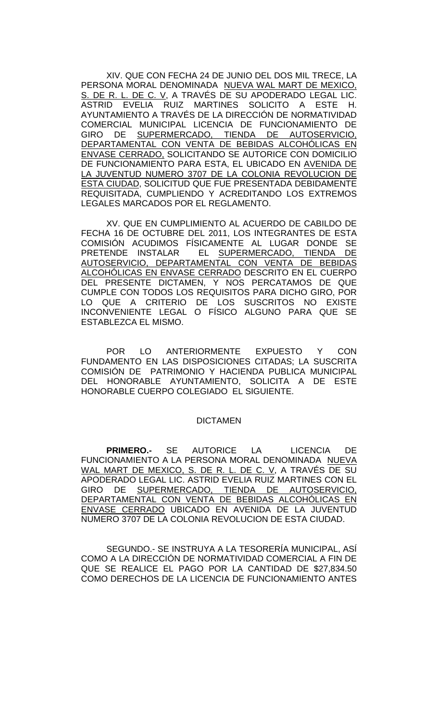XIV. QUE CON FECHA 24 DE JUNIO DEL DOS MIL TRECE, LA PERSONA MORAL DENOMINADA NUEVA WAL MART DE MEXICO, S. DE R. L. DE C. V, A TRAVÉS DE SU APODERADO LEGAL LIC. ASTRID EVELIA RUIZ MARTINES SOLICITO A ESTE H. AYUNTAMIENTO A TRAVÉS DE LA DIRECCIÓN DE NORMATIVIDAD COMERCIAL MUNICIPAL LICENCIA DE FUNCIONAMIENTO DE GIRO DE SUPERMERCADO, TIENDA DE AUTOSERVICIO, <u>DEPARTAMENTAL CON VENTA DE BEBIDAS ALCOHOLICAS EN</u> ENVASE CERRADO, SOLICITANDO SE AUTORICE CON DOMICILIO DE FUNCIONAMIENTO PARA ESTA, EL UBICADO EN AVENIDA DE LA JUVENTUD NUMERO 3707 DE LA COLONIA REVOLUCION DE ESTA CIUDAD, SOLICITUD QUE FUE PRESENTADA DEBIDAMENTE REQUISITADA, CUMPLIENDO Y ACREDITANDO LOS EXTREMOS LEGALES MARCADOS POR EL REGLAMENTO.

XV. QUE EN CUMPLIMIENTO AL ACUERDO DE CABILDO DE FECHA 16 DE OCTUBRE DEL 2011, LOS INTEGRANTES DE ESTA COMISIÓN ACUDIMOS FÍSICAMENTE AL LUGAR DONDE SE PRETENDE INSTALAR EL SUPERMERCADO, TIENDA DE AUTOSERVICIO, DEPARTAMENTAL CON VENTA DE BEBIDAS ALCOHÓLICAS EN ENVASE CERRADO DESCRITO EN EL CUERPO DEL PRESENTE DICTAMEN, Y NOS PERCATAMOS DE QUE CUMPLE CON TODOS LOS REQUISITOS PARA DICHO GIRO, POR LO QUE A CRITERIO DE LOS SUSCRITOS NO EXISTE INCONVENIENTE LEGAL O FÍSICO ALGUNO PARA QUE SE ESTABLEZCA EL MISMO.

POR LO ANTERIORMENTE EXPUESTO Y CON FUNDAMENTO EN LAS DISPOSICIONES CITADAS; LA SUSCRITA COMISIÓN DE PATRIMONIO Y HACIENDA PUBLICA MUNICIPAL DEL HONORABLE AYUNTAMIENTO, SOLICITA A DE ESTE HONORABLE CUERPO COLEGIADO EL SIGUIENTE.

## DICTAMEN

**PRIMERO.-** SE AUTORICE LA LICENCIA DE FUNCIONAMIENTO A LA PERSONA MORAL DENOMINADA NUEVA WAL MART DE MEXICO, S. DE R. L. DE C. V, A TRAVÉS DE SU APODERADO LEGAL LIC. ASTRID EVELIA RUIZ MARTINES CON EL GIRO DE SUPERMERCADO, TIENDA DE AUTOSERVICIO, DEPARTAMENTAL CON VENTA DE BEBIDAS ALCOHÓLICAS EN ENVASE CERRADO UBICADO EN AVENIDA DE LA JUVENTUD NUMERO 3707 DE LA COLONIA REVOLUCION DE ESTA CIUDAD.

SEGUNDO.- SE INSTRUYA A LA TESORERÍA MUNICIPAL, ASÍ COMO A LA DIRECCIÓN DE NORMATIVIDAD COMERCIAL A FIN DE QUE SE REALICE EL PAGO POR LA CANTIDAD DE \$27,834.50 COMO DERECHOS DE LA LICENCIA DE FUNCIONAMIENTO ANTES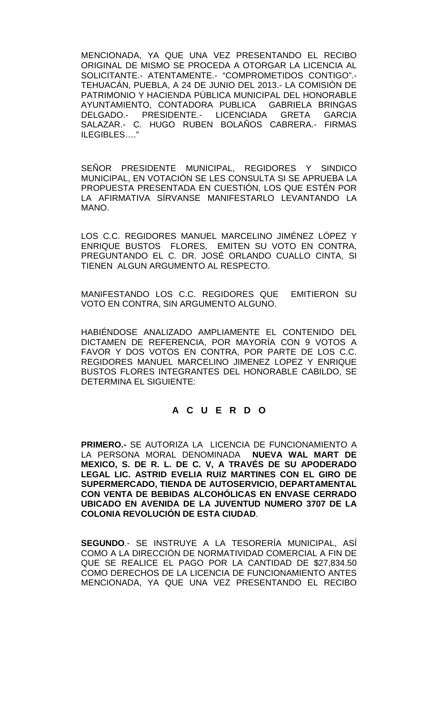MENCIONADA, YA QUE UNA VEZ PRESENTANDO EL RECIBO ORIGINAL DE MISMO SE PROCEDA A OTORGAR LA LICENCIA AL SOLICITANTE.- ATENTAMENTE.- "COMPROMETIDOS CONTIGO".- TEHUACÁN, PUEBLA, A 24 DE JUNIO DEL 2013.- LA COMISIÓN DE PATRIMONIO Y HACIENDA PÚBLICA MUNICIPAL DEL HONORABLE AYUNTAMIENTO, CONTADORA PUBLICA GABRIELA BRINGAS<br>DELGADO.- PRESIDENTE.- LICENCIADA GRETA GARCIA DELGADO.- PRESIDENTE.- LICENCIADA GRETA GARCIA SALAZAR.- C. HUGO RUBEN BOLAÑOS CABRERA.- FIRMAS ILEGIBLES…."

SEÑOR PRESIDENTE MUNICIPAL, REGIDORES Y SINDICO MUNICIPAL, EN VOTACIÓN SE LES CONSULTA SI SE APRUEBA LA PROPUESTA PRESENTADA EN CUESTIÓN, LOS QUE ESTÉN POR LA AFIRMATIVA SÍRVANSE MANIFESTARLO LEVANTANDO LA MANO.

LOS C.C. REGIDORES MANUEL MARCELINO JIMÉNEZ LÓPEZ Y ENRIQUE BUSTOS FLORES, EMITEN SU VOTO EN CONTRA, PREGUNTANDO EL C. DR. JOSÉ ORLANDO CUALLO CINTA, SI TIENEN ALGUN ARGUMENTO AL RESPECTO.

MANIFESTANDO LOS C.C. REGIDORES QUE EMITIERON SU VOTO EN CONTRA, SIN ARGUMENTO ALGUNO.

HABIÉNDOSE ANALIZADO AMPLIAMENTE EL CONTENIDO DEL DICTAMEN DE REFERENCIA, POR MAYORÍA CON 9 VOTOS A FAVOR Y DOS VOTOS EN CONTRA, POR PARTE DE LOS C.C. REGIDORES MANUEL MARCELINO JIMENEZ LOPEZ Y ENRIQUE BUSTOS FLORES INTEGRANTES DEL HONORABLE CABILDO, SE DETERMINA EL SIGUIENTE:

# **A C U E R D O**

**PRIMERO.-** SE AUTORIZA LA LICENCIA DE FUNCIONAMIENTO A LA PERSONA MORAL DENOMINADA **MEXICO, S. DE R. L. DE C. V, A TRAVÉS DE SU APODERADO LEGAL LIC. ASTRID EVELIA RUIZ MARTINES CON EL GIRO DE SUPERMERCADO, TIENDA DE AUTOSERVICIO, DEPARTAMENTAL CON VENTA DE BEBIDAS ALCOHÓLICAS EN ENVASE CERRADO UBICADO EN AVENIDA DE LA JUVENTUD NUMERO 3707 DE LA COLONIA REVOLUCIÓN DE ESTA CIUDAD**.

**SEGUNDO**.- SE INSTRUYE A LA TESORERÍA MUNICIPAL, ASÍ COMO A LA DIRECCIÓN DE NORMATIVIDAD COMERCIAL A FIN DE QUE SE REALICE EL PAGO POR LA CANTIDAD DE \$27,834.50 COMO DERECHOS DE LA LICENCIA DE FUNCIONAMIENTO ANTES MENCIONADA, YA QUE UNA VEZ PRESENTANDO EL RECIBO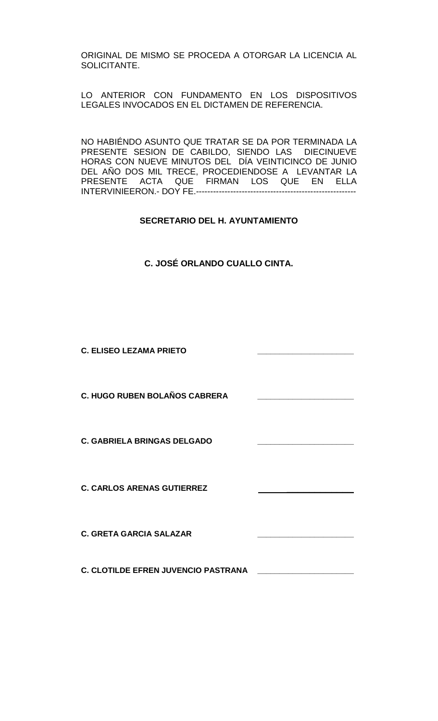ORIGINAL DE MISMO SE PROCEDA A OTORGAR LA LICENCIA AL SOLICITANTE.

LO ANTERIOR CON FUNDAMENTO EN LOS DISPOSITIVOS LEGALES INVOCADOS EN EL DICTAMEN DE REFERENCIA.

NO HABIÉNDO ASUNTO QUE TRATAR SE DA POR TERMINADA LA PRESENTE SESION DE CABILDO, SIENDO LAS DIECINUEVE HORAS CON NUEVE MINUTOS DEL DÍA VEINTICINCO DE JUNIO DEL AÑO DOS MIL TRECE, PROCEDIENDOSE A LEVANTAR LA PRESENTE ACTA QUE FIRMAN LOS QUE EN ELLA INTERVINIEERON.- DOY FE.--------------------------------------------------------

# **SECRETARIO DEL H. AYUNTAMIENTO**

| C. JOSÉ ORLANDO CUALLO CINTA. |
|-------------------------------|
|-------------------------------|

**C. ELISEO LEZAMA PRIETO \_\_\_\_\_\_\_\_\_\_\_\_\_\_\_\_\_\_\_\_\_\_**

**C. HUGO RUBEN BOLAÑOS CABRERA \_\_\_\_\_\_\_\_\_\_\_\_\_\_\_\_\_\_\_\_\_\_**

**C. GABRIELA BRINGAS DELGADO** 

**C. CARLOS ARENAS GUTIERREZ \_\_\_\_\_\_\_\_\_\_\_\_** 

**C. GRETA GARCIA SALAZAR \_\_\_\_\_\_\_\_\_\_\_\_\_\_\_\_\_\_\_\_\_\_**

**C. CLOTILDE EFREN JUVENCIO PASTRANA \_\_\_\_\_\_\_\_\_\_\_\_\_\_\_\_\_\_\_\_\_\_**